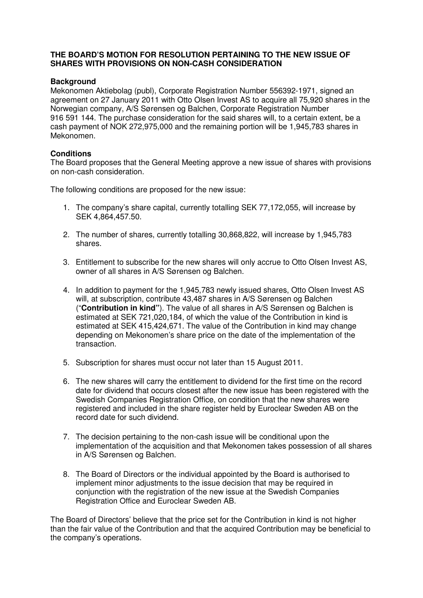## **THE BOARD'S MOTION FOR RESOLUTION PERTAINING TO THE NEW ISSUE OF SHARES WITH PROVISIONS ON NON-CASH CONSIDERATION**

## **Background**

Mekonomen Aktiebolag (publ), Corporate Registration Number 556392-1971, signed an agreement on 27 January 2011 with Otto Olsen Invest AS to acquire all 75,920 shares in the Norwegian company, A/S Sørensen og Balchen, Corporate Registration Number 916 591 144. The purchase consideration for the said shares will, to a certain extent, be a cash payment of NOK 272,975,000 and the remaining portion will be 1,945,783 shares in Mekonomen.

## **Conditions**

The Board proposes that the General Meeting approve a new issue of shares with provisions on non-cash consideration.

The following conditions are proposed for the new issue:

- 1. The company's share capital, currently totalling SEK 77,172,055, will increase by SEK 4,864,457.50.
- 2. The number of shares, currently totalling 30,868,822, will increase by 1,945,783 shares.
- 3. Entitlement to subscribe for the new shares will only accrue to Otto Olsen Invest AS, owner of all shares in A/S Sørensen og Balchen.
- 4. In addition to payment for the 1,945,783 newly issued shares, Otto Olsen Invest AS will, at subscription, contribute 43,487 shares in A/S Sørensen og Balchen ("**Contribution in kind"**). The value of all shares in A/S Sørensen og Balchen is estimated at SEK 721,020,184, of which the value of the Contribution in kind is estimated at SEK 415,424,671. The value of the Contribution in kind may change depending on Mekonomen's share price on the date of the implementation of the transaction.
- 5. Subscription for shares must occur not later than 15 August 2011.
- 6. The new shares will carry the entitlement to dividend for the first time on the record date for dividend that occurs closest after the new issue has been registered with the Swedish Companies Registration Office, on condition that the new shares were registered and included in the share register held by Euroclear Sweden AB on the record date for such dividend.
- 7. The decision pertaining to the non-cash issue will be conditional upon the implementation of the acquisition and that Mekonomen takes possession of all shares in A/S Sørensen og Balchen.
- 8. The Board of Directors or the individual appointed by the Board is authorised to implement minor adjustments to the issue decision that may be required in conjunction with the registration of the new issue at the Swedish Companies Registration Office and Euroclear Sweden AB.

The Board of Directors' believe that the price set for the Contribution in kind is not higher than the fair value of the Contribution and that the acquired Contribution may be beneficial to the company's operations.